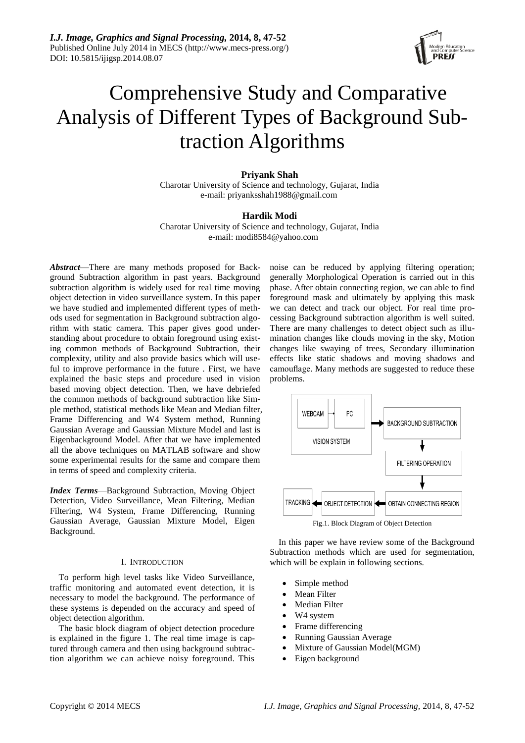

# Comprehensive Study and Comparative Analysis of Different Types of Background Subtraction Algorithms

# **Priyank Shah**

Charotar University of Science and technology, Gujarat, India e-mail: priyanksshah1988@gmail.com

# **Hardik Modi**

Charotar University of Science and technology, Gujarat, India e-mail: modi8584@yahoo.com

*Abstract*—There are many methods proposed for Background Subtraction algorithm in past years. Background subtraction algorithm is widely used for real time moving object detection in video surveillance system. In this paper we have studied and implemented different types of methods used for segmentation in Background subtraction algorithm with static camera. This paper gives good understanding about procedure to obtain foreground using existing common methods of Background Subtraction, their complexity, utility and also provide basics which will useful to improve performance in the future . First, we have explained the basic steps and procedure used in vision based moving object detection. Then, we have debriefed the common methods of background subtraction like Simple method, statistical methods like Mean and Median filter, Frame Differencing and W4 System method, Running Gaussian Average and Gaussian Mixture Model and last is Eigenbackground Model. After that we have implemented all the above techniques on MATLAB software and show some experimental results for the same and compare them in terms of speed and complexity criteria.

*Index Terms*—Background Subtraction, Moving Object Detection, Video Surveillance, Mean Filtering, Median Filtering, W4 System, Frame Differencing, Running Gaussian Average, Gaussian Mixture Model, Eigen Background.

## I. INTRODUCTION

To perform high level tasks like Video Surveillance, traffic monitoring and automated event detection, it is necessary to model the background. The performance of these systems is depended on the accuracy and speed of object detection algorithm.

The basic block diagram of object detection procedure is explained in the figure 1. The real time image is captured through camera and then using background subtraction algorithm we can achieve noisy foreground. This noise can be reduced by applying filtering operation; generally Morphological Operation is carried out in this phase. After obtain connecting region, we can able to find foreground mask and ultimately by applying this mask we can detect and track our object. For real time processing Background subtraction algorithm is well suited. There are many challenges to detect object such as illumination changes like clouds moving in the sky, Motion changes like swaying of trees, Secondary illumination effects like static shadows and moving shadows and camouflage. Many methods are suggested to reduce these problems.



In this paper we have review some of the Background Subtraction methods which are used for segmentation, which will be explain in following sections.

- Simple method
- Mean Filter
- Median Filter
- W4 system
- Frame differencing
- Running Gaussian Average
- Mixture of Gaussian Model(MGM)
- Eigen background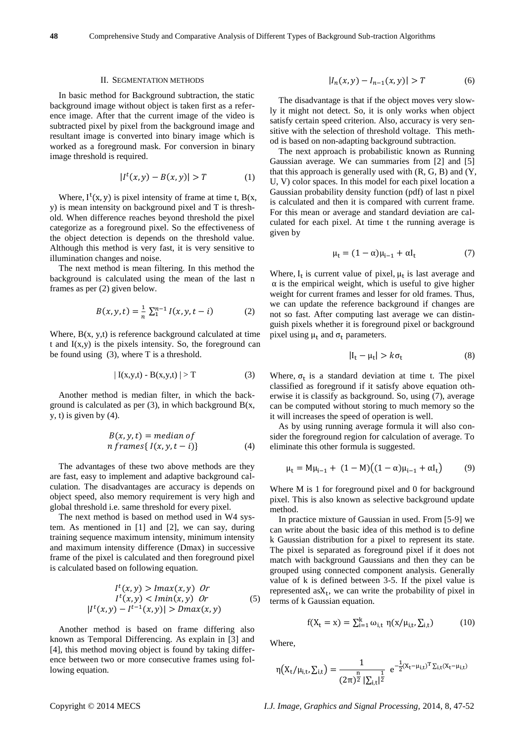#### II. SEGMENTATION METHODS

In basic method for Background subtraction, the static background image without object is taken first as a reference image. After that the current image of the video is subtracted pixel by pixel from the background image and resultant image is converted into binary image which is worked as a foreground mask. For conversion in binary image threshold is required.

$$
|I^t(x, y) - B(x, y)| > T \tag{1}
$$

Where,  $I^{\dagger}(x, y)$  is pixel intensity of frame at time t,  $B(x, y)$ y) is mean intensity on background pixel and T is threshold. When difference reaches beyond threshold the pixel categorize as a foreground pixel. So the effectiveness of the object detection is depends on the threshold value. Although this method is very fast, it is very sensitive to illumination changes and noise.

The next method is mean filtering. In this method the background is calculated using the mean of the last n frames as per (2) given below.

$$
B(x, y, t) = \frac{1}{n} \sum_{1}^{n-1} I(x, y, t - i)
$$
 (2)

Where,  $B(x, y, t)$  is reference background calculated at time t and  $I(x,y)$  is the pixels intensity. So, the foreground can be found using (3), where T is a threshold.

$$
| I(x,y,t) - B(x,y,t) | > T
$$
 (3)

Another method is median filter, in which the background is calculated as per  $(3)$ , in which background  $B(x, \theta)$  $y, t$ ) is given by  $(4)$ .

$$
B(x, y, t) = median of\nn frames{  $I(x, y, t - i)$  }\n
$$
\n(4)

The advantages of these two above methods are they are fast, easy to implement and adaptive background calculation. The disadvantages are accuracy is depends on object speed, also memory requirement is very high and global threshold i.e. same threshold for every pixel.

The next method is based on method used in W4 system. As mentioned in [1] and [2], we can say, during training sequence maximum intensity, minimum intensity and maximum intensity difference (Dmax) in successive frame of the pixel is calculated and then foreground pixel is calculated based on following equation.

$$
It(x, y) > Imax(x, y) \t Or
$$
  
\n
$$
It(x, y) < Imin(x, y) \t Or
$$
  
\n
$$
|It(x, y) - It-1(x, y)| > Dmax(x, y)
$$
\n(5)

Another method is based on frame differing also known as Temporal Differencing. As explain in [3] and [4], this method moving object is found by taking difference between two or more consecutive frames using following equation.

$$
|I_n(x, y) - I_{n-1}(x, y)| > T \tag{6}
$$

The disadvantage is that if the object moves very slowly it might not detect. So, it is only works when object satisfy certain speed criterion. Also, accuracy is very sensitive with the selection of threshold voltage. This method is based on non-adapting background subtraction.

The next approach is probabilistic known as Running Gaussian average. We can summaries from [2] and [5] that this approach is generally used with  $(R, G, B)$  and  $(Y, G)$ U, V) color spaces. In this model for each pixel location a Gaussian probability density function (pdf) of last n pixel is calculated and then it is compared with current frame. For this mean or average and standard deviation are calculated for each pixel. At time t the running average is given by

$$
\mu_t = (1 - \alpha)\mu_{i-1} + \alpha I_t \tag{7}
$$

Where,  $I_t$  is current value of pixel,  $\mu_t$  is last average and  $\alpha$  is the empirical weight, which is useful to give higher weight for current frames and lesser for old frames. Thus, we can update the reference background if changes are not so fast. After computing last average we can distinguish pixels whether it is foreground pixel or background pixel using  $\mu_t$  and  $\sigma_t$  parameters.

$$
|I_t - \mu_t| > k\sigma_t \tag{8}
$$

Where,  $\sigma_t$  is a standard deviation at time t. The pixel classified as foreground if it satisfy above equation otherwise it is classify as background. So, using (7), average can be computed without storing to much memory so the it will increases the speed of operation is well.

As by using running average formula it will also consider the foreground region for calculation of average. To eliminate this other formula is suggested.

$$
\mu_{t} = M\mu_{i-1} + (1 - M)((1 - \alpha)\mu_{i-1} + \alpha I_{t})
$$
 (9)

Where M is 1 for foreground pixel and 0 for background pixel. This is also known as selective background update method.

In practice mixture of Gaussian in used. From [5-9] we can write about the basic idea of this method is to define k Gaussian distribution for a pixel to represent its state. The pixel is separated as foreground pixel if it does not match with background Gaussians and then they can be grouped using connected component analysis. Generally value of k is defined between 3-5. If the pixel value is represented  $a_s X_t$ , we can write the probability of pixel in terms of k Gaussian equation.

$$
f(X_{t} = x) = \sum_{i=1}^{k} \omega_{i,t} \eta(x/\mu_{i,t}, \sum_{i,t})
$$
 (10)

Where,

$$
\eta\big(X_t/\mu_{i,t},\Sigma_{i,t}\big)=\frac{1}{(2\pi)^{\tfrac{n}{2}}\left|\Sigma_{i,t}\right|^{\tfrac{1}{2}}}\ e^{-\tfrac{1}{2}(X_t-\mu_{i,t})^T\Sigma_{i,t}(X_t-\mu_{i,t})}
$$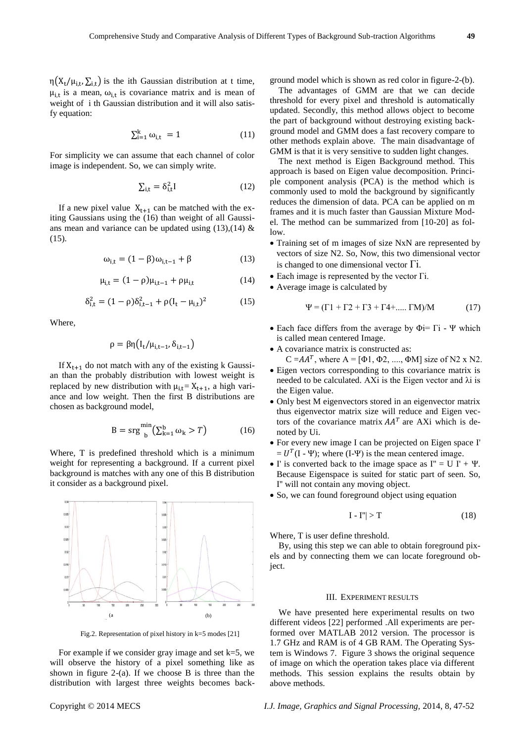$\eta(X_t/\mu_{i,t}, \Sigma_{i,t})$  is the ith Gaussian distribution at t time,  $\mu_{i,t}$  is a mean,  $\omega_{i,t}$  is covariance matrix and is mean of weight of i th Gaussian distribution and it will also satisfy equation:

$$
\sum_{i=1}^{k} \omega_{i,t} = 1 \tag{11}
$$

For simplicity we can assume that each channel of color image is independent. So, we can simply write.

$$
\sum_{i,t} = \delta_{i,t}^2 I \tag{12}
$$

If a new pixel value  $X_{t+1}$  can be matched with the exiting Gaussians using the (16) than weight of all Gaussians mean and variance can be updated using  $(13),(14)$  & (15).

$$
\omega_{i,t} = (1 - \beta)\omega_{i,t-1} + \beta \tag{13}
$$

$$
\mu_{i,t} = (1 - \rho)\mu_{i,t-1} + \rho\mu_{i,t} \tag{14}
$$

$$
\delta_{i,t}^2 = (1 - \rho)\delta_{i,t-1}^2 + \rho(I_t - \mu_{i,t})^2 \tag{15}
$$

Where,

$$
\rho = \beta \eta \big( I_t / \mu_{i,t-1}, \delta_{i,t-1} \big)
$$

If  $X_{t+1}$  do not match with any of the existing k Gaussian than the probably distribution with lowest weight is replaced by new distribution with  $\mu_{i,t} = X_{t+1}$ , a high variance and low weight. Then the first B distributions are chosen as background model,

$$
B = srg \frac{min}{b} \left( \sum_{k=1}^{b} \omega_k > T \right) \tag{16}
$$

Where, T is predefined threshold which is a minimum weight for representing a background. If a current pixel background is matches with any one of this B distribution it consider as a background pixel.



Fig.2. Representation of pixel history in k=5 modes [21]

For example if we consider gray image and set  $k=5$ , we will observe the history of a pixel something like as shown in figure 2-(a). If we choose  $B$  is three than the distribution with largest three weights becomes background model which is shown as red color in figure-2-(b).

The advantages of GMM are that we can decide threshold for every pixel and threshold is automatically updated. Secondly, this method allows object to become the part of background without destroying existing background model and GMM does a fast recovery compare to other methods explain above. The main disadvantage of GMM is that it is very sensitive to sudden light changes.

The next method is Eigen Background method. This approach is based on Eigen value decomposition. Principle component analysis (PCA) is the method which is commonly used to mold the background by significantly reduces the dimension of data. PCA can be applied on m frames and it is much faster than Gaussian Mixture Model. The method can be summarized from [10-20] as follow.

- Training set of m images of size NxN are represented by vectors of size N2. So, Now, this two dimensional vector is changed to one dimensional vector  $\Gamma$ i.
- Each image is represented by the vector Γi.
- Average image is calculated by

$$
\Psi = (\Gamma 1 + \Gamma 2 + \Gamma 3 + \Gamma 4 + \dots \Gamma M) / M \tag{17}
$$

- Each face differs from the average by  $\Phi$ i=  $\Gamma$ i Ψ which is called mean centered Image.
- A covariance matrix is constructed as:
	- $C = AA^T$ , where  $A = [\Phi_1, \Phi_2, \dots, \Phi_M]$  size of N2 x N2.
- Eigen vectors corresponding to this covariance matrix is needed to be calculated. AXi is the Eigen vector and  $\lambda i$  is the Eigen value.
- Only best M eigenvectors stored in an eigenvector matrix thus eigenvector matrix size will reduce and Eigen vectors of the covariance matrix  $AA<sup>T</sup>$  are AXi which is denoted by Ui.
- For every new image I can be projected on Eigen space I'  $= U<sup>T</sup>(I - \Psi)$ ; where (I- $\Psi$ ) is the mean centered image.
- $\bullet$  I' is converted back to the image space as I'' = U I' +  $\Psi$ . Because Eigenspace is suited for static part of seen. So, I'' will not contain any moving object.
- So, we can found foreground object using equation

$$
I - I''| > T \tag{18}
$$

Where, T is user define threshold.

By, using this step we can able to obtain foreground pixels and by connecting them we can locate foreground object.

## III. EXPERIMENT RESULTS

We have presented here experimental results on two different videos [22] performed .All experiments are performed over MATLAB 2012 version. The processor is 1.7 GHz and RAM is of 4 GB RAM. The Operating System is Windows 7. Figure 3 shows the original sequence of image on which the operation takes place via different methods. This session explains the results obtain by above methods.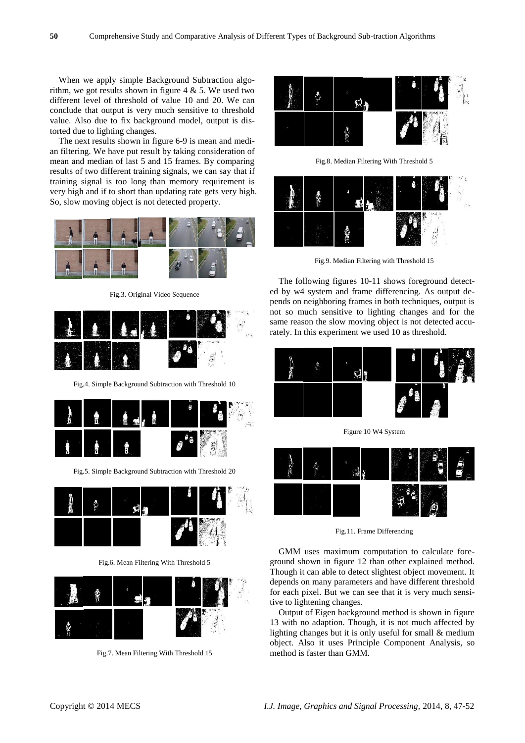When we apply simple Background Subtraction algorithm, we got results shown in figure  $4 \& 5$ . We used two different level of threshold of value 10 and 20. We can conclude that output is very much sensitive to threshold value. Also due to fix background model, output is distorted due to lighting changes.

The next results shown in figure 6-9 is mean and median filtering. We have put result by taking consideration of mean and median of last 5 and 15 frames. By comparing results of two different training signals, we can say that if training signal is too long than memory requirement is very high and if to short than updating rate gets very high. So, slow moving object is not detected property.



Fig.3. Original Video Sequence



Fig.4. Simple Background Subtraction with Threshold 10



Fig.5. Simple Background Subtraction with Threshold 20



Fig.6. Mean Filtering With Threshold 5



Fig.7. Mean Filtering With Threshold 15



Fig.8. Median Filtering With Threshold 5



Fig.9. Median Filtering with Threshold 15

The following figures 10-11 shows foreground detected by w4 system and frame differencing. As output depends on neighboring frames in both techniques, output is not so much sensitive to lighting changes and for the same reason the slow moving object is not detected accurately. In this experiment we used 10 as threshold.



Figure 10 W4 System



Fig.11. Frame Differencing

GMM uses maximum computation to calculate foreground shown in figure 12 than other explained method. Though it can able to detect slightest object movement. It depends on many parameters and have different threshold for each pixel. But we can see that it is very much sensitive to lightening changes.

Output of Eigen background method is shown in figure 13 with no adaption. Though, it is not much affected by lighting changes but it is only useful for small & medium object. Also it uses Principle Component Analysis, so method is faster than GMM.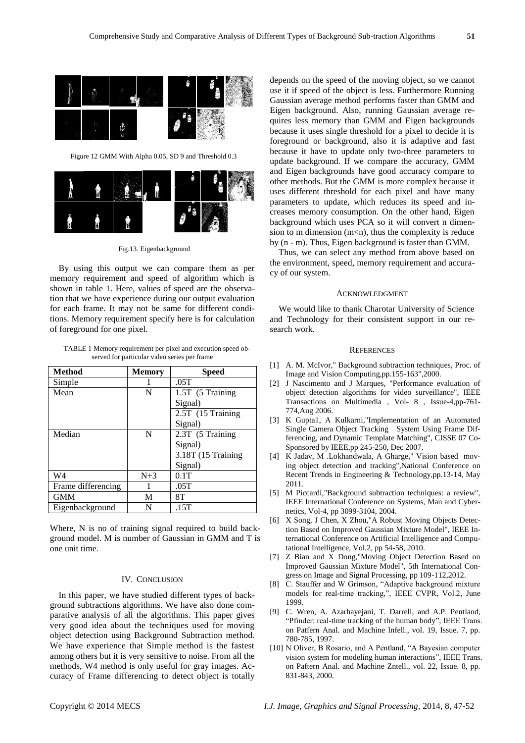Figure 12 GMM With Alpha 0.05, SD 9 and Threshold 0.3



Fig.13. Eigenbackground

By using this output we can compare them as per memory requirement and speed of algorithm which is shown in table 1. Here, values of speed are the observation that we have experience during our output evaluation for each frame. It may not be same for different conditions. Memory requirement specify here is for calculation of foreground for one pixel.

TABLE 1 Memory requirement per pixel and execution speed observed for particular video series per frame

| <b>Method</b>      | <b>Memory</b> | <b>Speed</b>       |
|--------------------|---------------|--------------------|
| Simple             |               | .05T               |
| Mean               | N             | 1.5T (5 Training   |
|                    |               | Signal)            |
|                    |               | 2.5T (15 Training  |
|                    |               | Signal)            |
| Median             | N             | 2.3T (5 Training   |
|                    |               | Signal)            |
|                    |               | 3.18T (15 Training |
|                    |               | Signal)            |
| W4                 | $N+3$         | 0.1T               |
| Frame differencing |               | .05T               |
| <b>GMM</b>         | M             | 8T                 |
| Eigenbackground    | N             | .15T               |

Where, N is no of training signal required to build background model. M is number of Gaussian in GMM and T is one unit time.

## IV. CONCLUSION

In this paper, we have studied different types of background subtractions algorithms. We have also done comparative analysis of all the algorithms. This paper gives very good idea about the techniques used for moving object detection using Background Subtraction method. We have experience that Simple method is the fastest among others but it is very sensitive to noise. From all the methods, W4 method is only useful for gray images. Accuracy of Frame differencing to detect object is totally

depends on the speed of the moving object, so we cannot use it if speed of the object is less. Furthermore Running Gaussian average method performs faster than GMM and Eigen background. Also, running Gaussian average requires less memory than GMM and Eigen backgrounds because it uses single threshold for a pixel to decide it is foreground or background, also it is adaptive and fast because it have to update only two-three parameters to update background. If we compare the accuracy, GMM and Eigen backgrounds have good accuracy compare to other methods. But the GMM is more complex because it uses different threshold for each pixel and have many parameters to update, which reduces its speed and increases memory consumption. On the other hand, Eigen background which uses PCA so it will convert n dimension to m dimension  $(m < n)$ , thus the complexity is reduce by (n - m). Thus, Eigen background is faster than GMM.

Thus, we can select any method from above based on the environment, speed, memory requirement and accuracy of our system.

### ACKNOWLEDGMENT

We would like to thank Charotar University of Science and Technology for their consistent support in our research work.

#### **REFERENCES**

- [1] A. M. McIvor," Background subtraction techniques, Proc. of Image and Vision Computing,pp.155-163",2000.
- [2] J Nascimento and J Marques, "Performance evaluation of object detection algorithms for video surveillance", IEEE Transactions on Multimedia , Vol- 8 , Issue-4,pp-761- 774,Aug 2006.
- [3] K Gupta1, A Kulkarni,"Implementation of an Automated Single Camera Object Tracking System Using Frame Differencing, and Dynamic Template Matching", CISSE 07 Co-Sponsored by IEEE,pp 245-250, Dec 2007.
- [4] K Jadav, M .Lokhandwala, A Gharge," Vision based moving object detection and tracking",National Conference on Recent Trends in Engineering & Technology,pp.13-14, May 2011.
- [5] M Piccardi,"Background subtraction techniques: a review", IEEE International Conference on Systems, Man and Cybernetics, Vol-4, pp 3099-3104, 2004.
- [6] X Song, J Chen, X Zhou,"A Robust Moving Objects Detection Based on Improved Gaussian Mixture Model", IEEE International Conference on Artificial Intelligence and Computational Intelligence, Vol.2, pp 54-58, 2010.
- [7] Z Bian and X Dong,"Moving Object Detection Based on Improved Gaussian Mixture Model", 5th International Congress on Image and Signal Processing, pp 109-112,2012.
- [8] C. Stauffer and W Grimson, "Adaptive background mixture models for real-time tracking,", IEEE CVPR, Vol.2, June 1999.
- [9] C. Wren, A. Azarhayejani, T. Darrell, and A.P. Pentland, "Pfinder: real-time tracking of the human body", IEEE Trans. on Patfern Anal. and Machine Infell., vol. 19, Issue. 7, pp. 780-785, 1997.
- [10] N Oliver, B Rosario, and A Pentland, "A Bayesian computer vision system for modeling human interactions", IEEE Trans. on Paftern Anal. and Machine Zntell., vol. 22, Issue. 8, pp. 831-843, 2000.